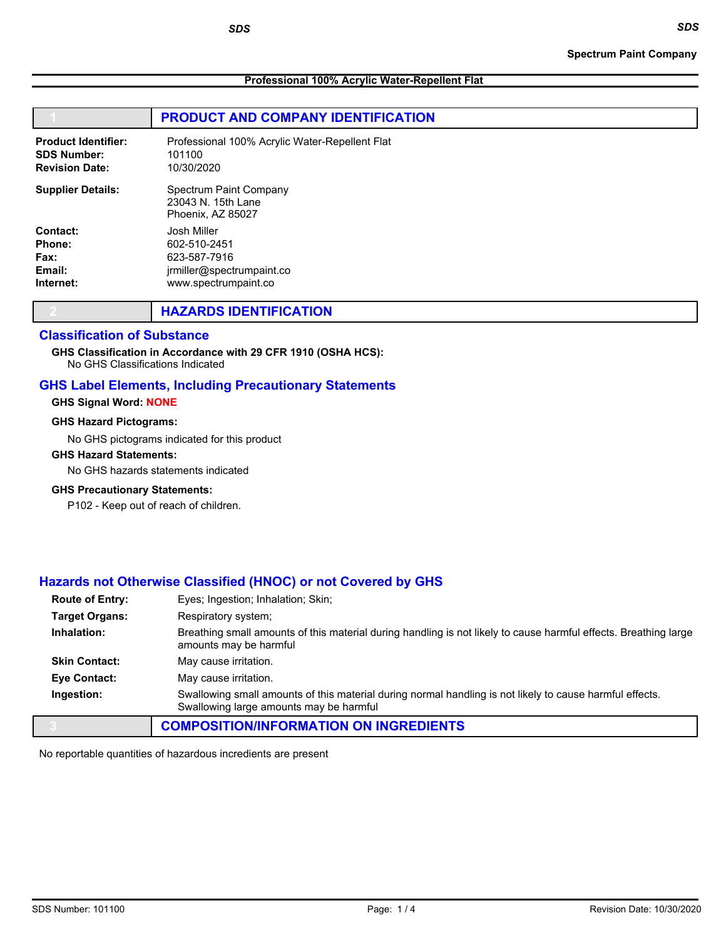Professional 100% Acrylic Water-Repellent Flat

# PRODUCT AND COMPANY IDENTIFICATION

| <b>Product Identifier:</b> | Professional 100% Acrylic Water-Repellent Flat                    |
|----------------------------|-------------------------------------------------------------------|
| <b>SDS Number:</b>         | 101100                                                            |
| <b>Revision Date:</b>      | 10/30/2020                                                        |
| <b>Supplier Details:</b>   | Spectrum Paint Company<br>23043 N. 15th Lane<br>Phoenix. AZ 85027 |
| Contact:                   | Josh Miller                                                       |
| Phone:                     | 602-510-2451                                                      |
| Fax:                       | 623-587-7916                                                      |
| Email:                     | irmiller@spectrumpaint.co                                         |
| Internet:                  | www.spectrumpaint.co                                              |

|  | <b>HAZARDS IDENTIFICATION</b> |
|--|-------------------------------|
|--|-------------------------------|

SDS

# Classification of Substance

GHS Classification in Accordance with 29 CFR 1910 (OSHA HCS):

No GHS Classifications Indicated

# GHS Label Elements, Including Precautionary Statements

#### GHS Signal Word: NONE

#### GHS Hazard Pictograms:

No GHS pictograms indicated for this product

#### GHS Hazard Statements:

No GHS hazards statements indicated

#### GHS Precautionary Statements:

P102 - Keep out of reach of children.

# Hazards not Otherwise Classified (HNOC) or not Covered by GHS

| <b>Route of Entry:</b> | Eyes; Ingestion; Inhalation; Skin;                                                                                                                  |
|------------------------|-----------------------------------------------------------------------------------------------------------------------------------------------------|
| <b>Target Organs:</b>  | Respiratory system;                                                                                                                                 |
| Inhalation:            | Breathing small amounts of this material during handling is not likely to cause harmful effects. Breathing large<br>amounts may be harmful          |
| <b>Skin Contact:</b>   | May cause irritation.                                                                                                                               |
| Eye Contact:           | May cause irritation.                                                                                                                               |
| Ingestion:             | Swallowing small amounts of this material during normal handling is not likely to cause harmful effects.<br>Swallowing large amounts may be harmful |
|                        | <b>COMPOSITION/INFORMATION ON INGREDIENTS</b>                                                                                                       |

No reportable quantities of hazardous incredients are present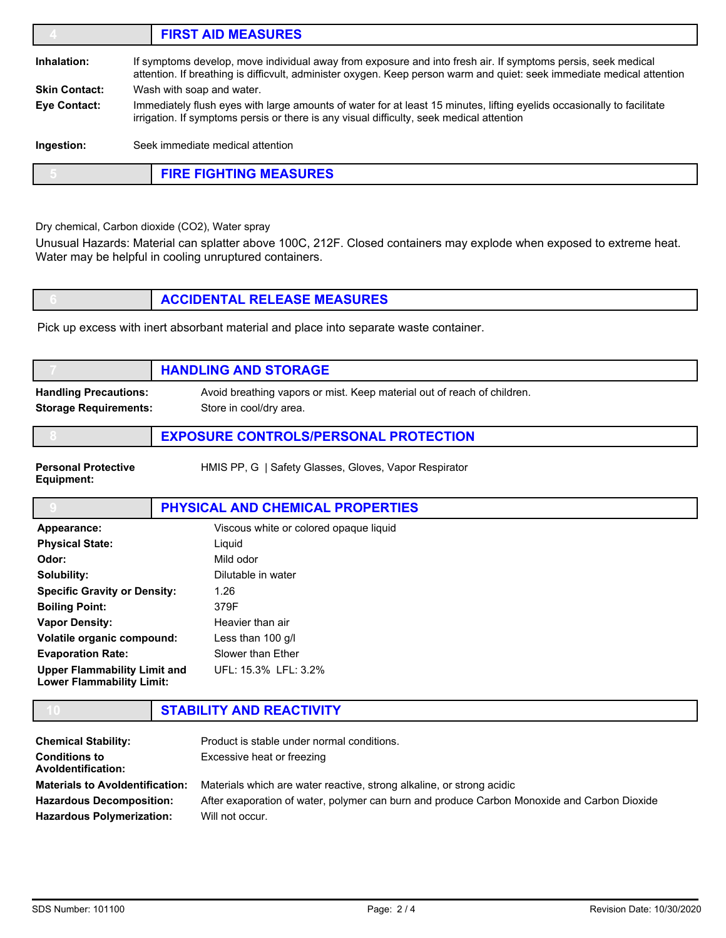|                                                | <b>FIRST AID MEASURES</b>                                                                                                                                                                                                              |  |
|------------------------------------------------|----------------------------------------------------------------------------------------------------------------------------------------------------------------------------------------------------------------------------------------|--|
| Inhalation:                                    | If symptoms develop, move individual away from exposure and into fresh air. If symptoms persis, seek medical<br>attention. If breathing is difficvult, administer oxygen. Keep person warm and quiet: seek immediate medical attention |  |
| <b>Skin Contact:</b>                           | Wash with soap and water.                                                                                                                                                                                                              |  |
| Eye Contact:                                   | Immediately flush eyes with large amounts of water for at least 15 minutes, lifting eyelids occasionally to facilitate<br>irrigation. If symptoms persis or there is any visual difficulty, seek medical attention                     |  |
| Ingestion:<br>Seek immediate medical attention |                                                                                                                                                                                                                                        |  |
|                                                | <b>FIRE FIGHTING MEASURES</b>                                                                                                                                                                                                          |  |

Dry chemical, Carbon dioxide (CO2), Water spray

Unusual Hazards: Material can splatter above 100C, 212F. Closed containers may explode when exposed to extreme heat. Water may be helpful in cooling unruptured containers.

| <b>ACCIDENTAL RELEASE MEASURES</b> |
|------------------------------------|
|                                    |

Pick up excess with inert absorbant material and place into separate waste container.

|                                          | <b>HANDLING AND STORAGE</b>                                             |
|------------------------------------------|-------------------------------------------------------------------------|
| <b>Handling Precautions:</b>             | Avoid breathing vapors or mist. Keep material out of reach of children. |
| <b>Storage Requirements:</b>             | Store in cool/dry area.                                                 |
|                                          | <b>EXPOSURE CONTROLS/PERSONAL PROTECTION</b>                            |
| <b>Personal Protective</b><br>Equipment: | HMIS PP, G   Safety Glasses, Gloves, Vapor Respirator                   |
|                                          | PHYSICAL AND CHEMICAL PROPERTIES                                        |
|                                          |                                                                         |
| Appearance:                              | Viscous white or colored opaque liquid                                  |
| <b>Physical State:</b>                   | Liquid                                                                  |
| Odor:                                    | Mild odor                                                               |
| Solubility:                              | Dilutable in water                                                      |
| <b>Specific Gravity or Density:</b>      | 1.26                                                                    |
| <b>Boiling Point:</b>                    | 379F                                                                    |
| <b>Vapor Density:</b>                    | Heavier than air                                                        |

| <b>Evaporation Rate:</b>                                         | Slower than Ether    |  |
|------------------------------------------------------------------|----------------------|--|
| Upper Flammability Limit and<br><b>Lower Flammability Limit:</b> | UFL: 15.3% LFL: 3.2% |  |

|                    | STABILITY AND REACTIVITY                         |  |
|--------------------|--------------------------------------------------|--|
| Chamical Stability | <b>Droduct is stable under nermal conditions</b> |  |

| <b>Chemical Stability:</b>                        | Product is stable under normal conditions.                                                  |
|---------------------------------------------------|---------------------------------------------------------------------------------------------|
| <b>Conditions to</b><br><b>Avoldentification:</b> | Excessive heat or freezing                                                                  |
| <b>Materials to Avoldentification:</b>            | Materials which are water reactive, strong alkaline, or strong acidic                       |
| <b>Hazardous Decomposition:</b>                   | After exaporation of water, polymer can burn and produce Carbon Monoxide and Carbon Dioxide |
| <b>Hazardous Polymerization:</b>                  | Will not occur.                                                                             |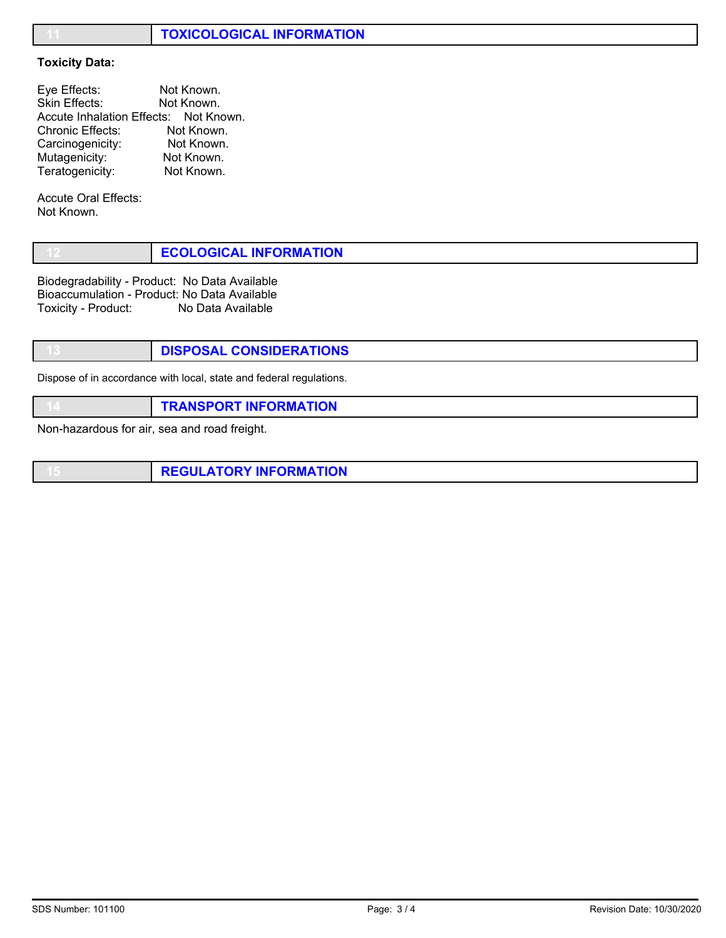# **TOXICOLOGICAL INFORMATION**

## Toxicity Data:

| Eye Effects:            | Not Known.                            |
|-------------------------|---------------------------------------|
| Skin Effects:           | Not Known.                            |
|                         | Accute Inhalation Effects: Not Known. |
| <b>Chronic Effects:</b> | Not Known.                            |
| Carcinogenicity:        | Not Known.                            |
| Mutagenicity:           | Not Known.                            |
| Teratogenicity:         | Not Known.                            |

Accute Oral Effects: Not Known.

|  | <b>ECOLOGICAL INFORMATION</b> |
|--|-------------------------------|
|--|-------------------------------|

Biodegradability - Product: No Data Available Bioaccumulation - Product: No Data Available Toxicity - Product: No Data Available

DISPOSAL CONSIDERATIONS

Dispose of in accordance with local, state and federal regulations.

**TRANSPORT INFORMATION** 

Non-hazardous for air, sea and road freight.

**REGULATORY INFORMATION**